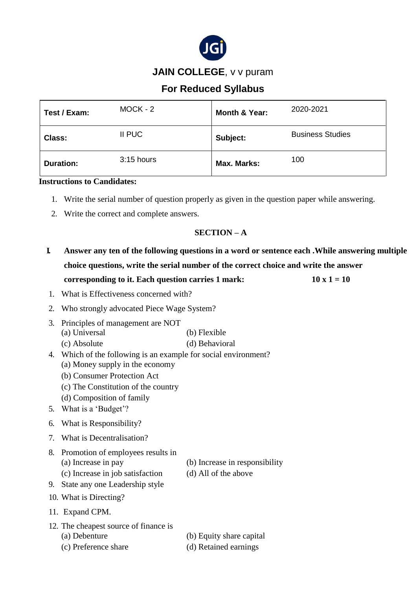

## **JAIN COLLEGE**, v v puram

# **For Reduced Syllabus**

| Test / Exam:     | $MOCK - 2$   | Month & Year: | 2020-2021               |
|------------------|--------------|---------------|-------------------------|
| <b>Class:</b>    | II PUC       | Subject:      | <b>Business Studies</b> |
| <b>Duration:</b> | $3:15$ hours | Max. Marks:   | 100                     |

#### **Instructions to Candidates:**

- 1. Write the serial number of question properly as given in the question paper while answering.
- 2. Write the correct and complete answers.

### **SECTION – A**

- **I. Answer any ten of the following questions in a word or sentence each .While answering multiple choice questions, write the serial number of the correct choice and write the answer corresponding to it. Each question carries 1 mark:**  $10 \times 1 = 10$
- 1. What is Effectiveness concerned with?
- 2. Who strongly advocated Piece Wage System?
- 3. Principles of management are NOT (a) Universal (b) Flexible (c) Absolute (d) Behavioral
- 4. Which of the following is an example for social environment? (a) Money supply in the economy (b) Consumer Protection Act
	- (c) The Constitution of the country
	- (d) Composition of family
- 5. What is a 'Budget'?
- 6. What is Responsibility?
- 7. What is Decentralisation?
- 8. Promotion of employees results in (a) Increase in pay (b) Increase in responsibility (c) Increase in job satisfaction (d) All of the above
	-
	-
- 9. State any one Leadership style
- 10. What is Directing?
- 11. Expand CPM.
- 12. The cheapest source of finance is (a) Debenture (b) Equity share capital
	-
	- (c) Preference share (d) Retained earnings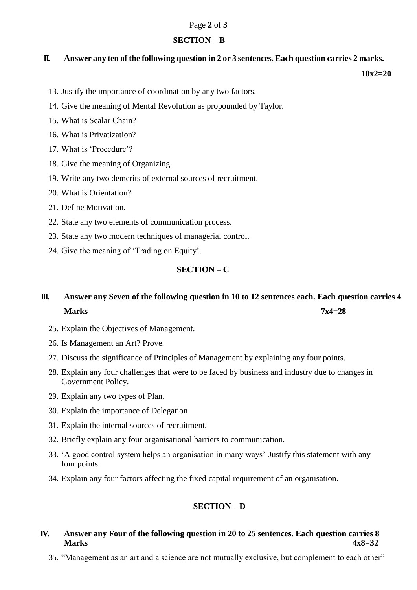#### Page **2** of **3**

#### **SECTION – B**

#### **II. Answer any ten of the following question in 2 or 3 sentences. Each question carries 2 marks.**

 **10x2=20**

- 13. Justify the importance of coordination by any two factors.
- 14. Give the meaning of Mental Revolution as propounded by Taylor.
- 15. What is Scalar Chain?
- 16. What is Privatization?
- 17. What is 'Procedure'?
- 18. Give the meaning of Organizing.
- 19. Write any two demerits of external sources of recruitment.
- 20. What is Orientation?
- 21. Define Motivation.
- 22. State any two elements of communication process.
- 23. State any two modern techniques of managerial control.
- 24. Give the meaning of 'Trading on Equity'.

### **SECTION – C**

# **III. Answer any Seven of the following question in 10 to 12 sentences each. Each question carries 4 Marks 7x4=28**

- 25. Explain the Objectives of Management.
- 26. Is Management an Art? Prove.
- 27. Discuss the significance of Principles of Management by explaining any four points.
- 28. Explain any four challenges that were to be faced by business and industry due to changes in Government Policy.
- 29. Explain any two types of Plan.
- 30. Explain the importance of Delegation
- 31. Explain the internal sources of recruitment.
- 32. Briefly explain any four organisational barriers to communication.
- 33. 'A good control system helps an organisation in many ways'-Justify this statement with any four points.
- 34. Explain any four factors affecting the fixed capital requirement of an organisation.

### **SECTION – D**

### **IV. Answer any Four of the following question in 20 to 25 sentences. Each question carries 8 Marks 4x8=32**

35. "Management as an art and a science are not mutually exclusive, but complement to each other"